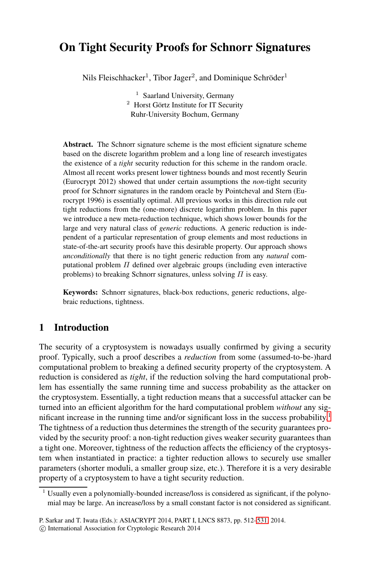# **On Tight Security Proofs for Schnorr Signatures**

Nils Fleischhacker<sup>1</sup>, Tibor Jager<sup>2</sup>, and Dominique Schröder<sup>1</sup>

 $1$  Saarland University, Germany <sup>2</sup> Horst Görtz Institute for IT Security Ruhr-University Bochum, Germany

Abstract. The Schnorr signature scheme is the most efficient signature scheme based on the discrete logarithm problem and a long line of research investigates the existence of a *tight* security reduction for this scheme in the random oracle. Almost all recent works present lower tightness bounds and most recently Seurin (Eurocrypt 2012) showed that under certain assumptions the *non*-tight security proof for Schnorr signatures in the random oracle by Pointcheval and Stern (Eurocrypt 1996) is essentially optimal. All previous works in this direction rule out tight reductions from the (one-more) discrete logarithm problem. In this paper we introduce a new meta-reduction technique, which shows lower bounds for the large and very natural class of *generic* reductions. A generic reduction is independent of a particular representation of group elements and most reductions in state-of-the-art security proofs have this desirable property. Our approach shows *unconditionally* that there is no tight generic reduction from any *natural* computational problem  $\Pi$  defined over algebraic groups (including even interactive problems) to breaking Schnorr signatures, unless solving  $\Pi$  is easy.

**Keywords:** Schnorr signatures, black-box reductions, generic reductions, algebraic reductions, tightness.

## **1 Introduction**

<span id="page-0-0"></span>The security of a cryptosystem is nowadays usually confirmed [b](#page-0-0)y giving a security proof. Typically, such a proof describes a *reduction* from some (assumed-to-be-)hard computational problem to breaking a defined security property of the cryptosystem. A reduction is considered as *tight*, if the reduction solving the hard computational problem has essentially the same running time and success probability as the attacker on the cryptosystem. Essentially, a tight reduction means that a successful attacker can be turned into an efficient algorithm for the hard computational problem *without* any significant increase in the running time and/or significant loss in the success probability.1 The tightness of a reduction thus determines the strength of the security guarantees provided by the security proof: a non-tight reduction gives weaker security guarantees than a tight one. Moreover, tightness of the reduct[ion](#page-19-0) affects the efficiency of the cryptosystem when instantiated in practice: a tighter reduction allows to securely use smaller parameters (shorter moduli, a smaller group size, etc.). Therefore it is a very desirable property of a cryptosystem to have a tight security reduction.

Usually even a polynomially-bounded increase/loss is considered as significant, if the polynomial may be large. An increase/loss by a small constant factor is not considered as significant.

P. Sarkar and T. Iwata (Eds.): ASIACRYPT 2014, PART I, LNCS 8873, pp. 512–531, 2014.

 $\odot$  International Association for Cryptologic Research 2014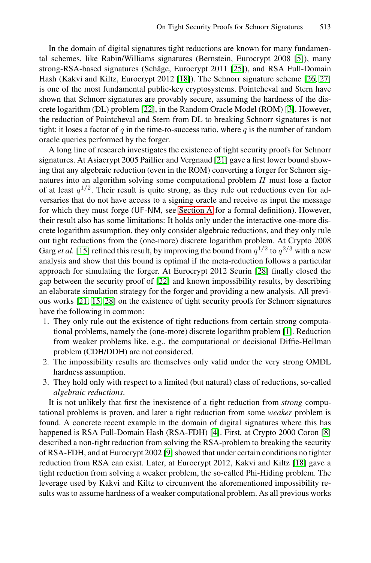In the domain of digital signatures tight reductions are known for many fundamental schemes, like Rabin/Williams signatures (Bernstein, Eurocrypt 2008 [5]), many strong-RSA-based signatures (Schäge, Eurocrypt 2011 [25]), and RSA Full-Domain Hash (Kakvi and Kiltz, Eurocry[pt 2](#page-18-0)012 [18]). The Schnorr signature scheme [26, 27] is one of the most fundamental public-key cryptosystems. Pointcheval and Stern have shown that Schnorr signatures are provably secure, assuming the hardness of the discrete logarithm (DL) problem [22], in the Random Oracle Model (ROM) [3]. However, the reduction of Pointcheval and Stern from DL to breaking Schnorr signatures is not tight: it loses a factor of  $q$  [in the t](#page-18-1)ime-to-success ratio, where  $q$  is the number of random oracle queries performed by the forger.

A long line of research investigates the existence of tight security proofs for Schnorr signatures. At Asiacrypt 2005 Paillier and Vergnaud [21] gave a first lower bound showing that any algebraic reduction (even in the ROM) converting a forger for Schnorr signatures into an algorithm solving some computational problem  $\Pi$  must lose a factor of at least  $q^{1/2}$ . Their result is quite strong[, as](#page-18-2) they rule out reductions even for adversaries that d[o no](#page-18-3)t have access to a signing oracle and receive as input the message for which they must forge (UF-NM, see Section A for a formal definition). However, [the](#page-18-2)ir result also has some limitations: It holds only under the interactive one-more discrete logarithm assumption, they only consider algebraic reductions, and they only rule out tight reductions from the (one-more) discrete logarithm problem. At Crypto 2008 Garg *et al.* [15] refined this result, by improving the b[ou](#page-17-1)nd from  $q^{1/2}$  to  $q^{2/3}$  with a new analysis and show that this bound is optimal if the meta-reduction follows a particular approach for simulating the forger. At Eurocrypt 2012 Seurin [28] finally closed the gap between the security proof of [22] and known impossibility results, by describing an elaborate simulation strategy for the forger and providing a new analysis. All previous works [21, 15, 28] on the existence of tight security proofs for Schnorr signatures have the following in common:

- 1. They only rule out the existence of tight reductions from certain strong computational problems, namely the (one-more) discrete logarithm problem [1]. Reduction from weaker problems like, e.g., the computational or decisional Diffie-Hellman problem (CDH/DDH) are [not](#page-17-2) considered.
- 2. The impossibility results are themselves only valid under t[he](#page-17-3) very strong OMDL hardness assu[m](#page-17-4)ption.
- 3. They hold only with respect to a limited (but natura[l\) cl](#page-18-4)ass of reductions, so-called *algebraic reductions*.

It is not unlikely that first the inexistence of a tight reduction from *strong* computational problems is proven, and later a tight reduction from some *weaker* problem is found. A concrete recent example in the domain of digital signatures where this has happened is RSA Full-Domain Hash (RSA-FDH) [4]. First, at Crypto 2000 Coron [8] described a non-tight reduction from solving the RSA-problem to breaking the security of RSA-FDH, and at Eurocrypt 2002 [9] showed that under certain conditions no tighter reduction from RSA can exist. Later, at Eurocrypt 2012, Kakvi and Kiltz [18] gave a tight reduction from solving a weaker problem, the so-called Phi-Hiding problem. The leverage used by Kakvi and Kiltz to circumvent the aforementioned impossibility results was to assume hardness of a weaker computational problem. As all previous works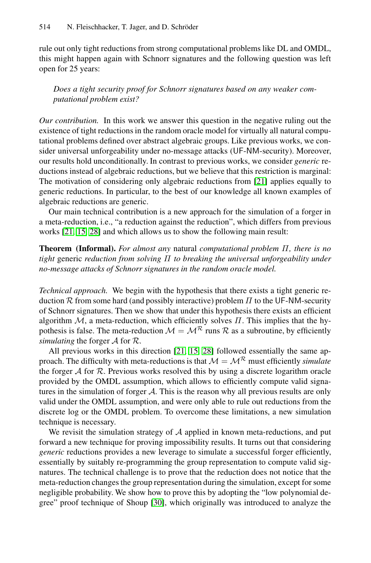rule out only tight reductions from strong computational problems like DL and OMDL, this might happen again with Schnorr signatures and the following question was left open for 25 years:

*Does a tight security proof for Schnorr signatures based on any weaker computational problem exist?*

*Our contribution.* In this work we answer this question in the negative ruling out the existence of tight reductions in the random oracle model for virtually all natural computational problems defined over abstract algebraic groups. Like previous works, we consider universal unforgeability under no-message attacks (UF-NM-security). Moreover, our results hold unconditionally. In contrast to previous works, we consider *generic* reductions instead of algebraic reductions, but we believe that this restriction is marginal: The motivation of considering only algebraic reductions from [21] applies equally to generic reductions. In particular, to the best of our knowledge all known examples of algebraic reductions are generic.

Our main technical contribution is a new approach for the simulation of a forger in a meta-reduction, i.e., "a reduction against the reduction", which differs from previous works [21, 15, 28] and which allows us to show the following main result:

**Theorem (Informal).** *For almost any* natural *computational problem* Π*, there is no tight* generic *reduction from solving* Π *to breaking the universal unforgeability under no-message attacks [of Sc](#page-18-0)[hno](#page-18-5)[rr s](#page-18-2)ignatures in the random oracle model.*

*Technical approach.* We begin with the hypothesis that there exists a tight generic reduction  $R$  from some hard (and possibly interactive) problem  $\Pi$  to the UF-NM-security of Schnorr signatures. Then we show that under this hypothesis there exists an efficient algorithm  $M$ , a meta-reduction, which efficiently solves  $\Pi$ . This implies that the hypothesis is false. The meta-reduction  $\mathcal{M} = \mathcal{M}^R$  runs  $\mathcal R$  as a subroutine, by efficiently *simulating* the forger A for R.

All previous works in this direction [21, 15, 28] followed essentially the same approach. The difficulty with meta-reductions is that  $\mathcal{M} = \mathcal{M}^{\mathcal{R}}$  must efficiently *simulate* the forger  $A$  for  $R$ . Previous works resolved this by using a discrete logarithm oracle provided by the OMDL assumption, which allows to efficiently compute valid signatures in the simulation of forger  $A$ . This is the reason why all previous results are only valid under the OMDL assumption, and were only able to rule out reductions from the discrete log or the OMDL problem. To overcome these limitations, a new simulation technique is n[ece](#page-18-6)ssary.

We revisit the simulation strategy of  $A$  applied in known meta-reductions, and put forward a new technique for proving impossibility results. It turns out that considering *generic* reductions provides a new leverage to simulate a successful forger efficiently, essentially by suitably re-programming the group representation to compute valid signatures. The technical challenge is to prove that the reduction does not notice that the meta-reduction changes the group representation during the simulation, except for some negligible probability. We show how to prove this by adopting the "low polynomial degree" proof technique of Shoup [30], which originally was introduced to analyze the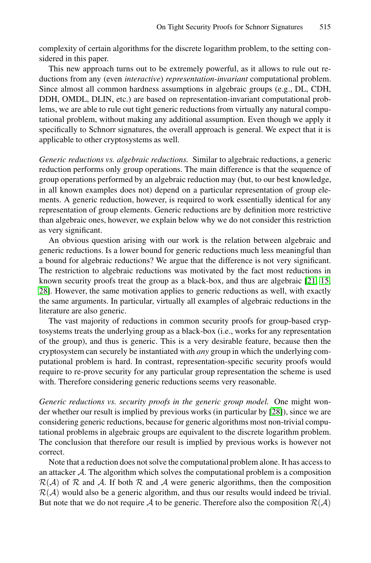complexity of certain algorithms for the discrete logarithm problem, to the setting considered in this paper.

This new approach turns out to be extremely powerful, as it allows to rule out reductions from any (even *interactive*) *representation-invariant* computational problem. Since almost all common hardness assumptions in algebraic groups (e.g., DL, CDH, DDH, OMDL, DLIN, etc.) are based on representation-invariant computational problems, we are able to rule out tight generic reductions from virtually any natural computational problem, without making any additional assumption. Even though we apply it specifically to Schnorr signatures, the overall approach is general. We expect that it is applicable to other cryptosystems as well.

*Generic reductions vs. algebraic reductions.* Similar to algebraic reductions, a generic reduction performs only group operations. The main difference is that the sequence of group operations performed by an algebraic reduction may (but, to our best knowledge, in all known examples does not) depend on a particular representation of group elements. A generic reduction, however, is required to work [esse](#page-18-0)[ntial](#page-18-5)ly identical for any representation of group elements. Generic reductions are by definition more restrictive than algebraic ones, however, we explain below why we do not consider this restriction as very significant.

An obvious question arising with our work is the relation between algebraic and generic reductions. Is a lower bound for generic reductions much less meaningful than a bound for algebraic reductions? We argue that the difference is not very significant. The restriction to algebraic reductions was motivated by the fact most reductions in known security proofs treat the group as a black-box, and thus are algebraic [21, 15, 28]. However, the same motivation applies to generic reductions as well, with exactly the same arguments. In particular, virtually all examples of algebraic reductions in the literature are also generic.

The vast majority of reductions in common security proofs for group-based cryptosystems treats the underlying group as a black-[box](#page-18-2) (i.e., works for any representation of the group), and thus is generic. This is a very desirable feature, because then the cryptosystem can securely be instantiated with *any* group in which the underlying computational problem is hard. In contrast, representation-specific security proofs would require to re-prove security for any particular group representation the scheme is used with. Therefore considering generic reductions seems very reasonable.

*Generic reductions vs. security proofs in the generic group model.* One might wonder whether our result is implied by previous works (in particular by [28]), since we are considering generic reductions, because for generic algorithms most non-trivial computational problems in algebraic groups are equivalent to the discrete logarithm problem. The conclusion that therefore our result is implied by previous works is however not correct.

Note that a reduction does not solve the computational problem alone. It has access to an attacker A. The algorithm which solves the computational problem is a composition  $\mathcal{R}(\mathcal{A})$  of  $\mathcal R$  and  $\mathcal A$ . If both  $\mathcal R$  and  $\mathcal A$  were generic algorithms, then the composition  $R(A)$  would also be a generic algorithm, and thus our results would indeed be trivial. But note that we do not require A to be generic. Therefore also the composition  $\mathcal{R}(\mathcal{A})$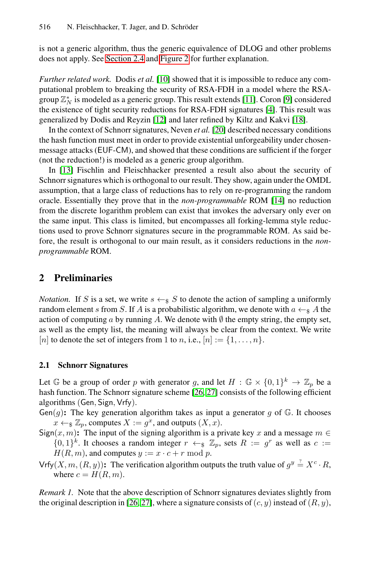is not a generi[c](#page-17-6) [al](#page-17-6)gorithm, thus [the](#page-18-7) generic equivalence [of](#page-18-4) DLOG and other problems does not apply. See Section 2.4 and Figure 2 for further explanation.

*Further related work.* Dodis *et al.* [10] showed that it is impossible to reduce any computational problem to breaking the security of RSA-FDH in a model where the RSAgroup  $\mathbb{Z}_N^*$  is modeled as a generic group. This result extends [11]. Coron [9] considered<br>the existence of tight security reductions for RSA-EDH signatures [41]. This result was the existence of tight security reductions for RSA-FDH signatures [4]. This result was generalized by Dodis and Reyzin [12] and later re[fine](#page-18-8)d by Kiltz and Kakvi [18].

In the context of Schnorr signatures, Neven *et al.* [20] described necessary conditions the hash function must meet in order to provide existential unforgeability under chosenmessage attacks (EUF-CM), and showed that these conditions are sufficient if the forger (not the reduction!) is modeled as a generic group algorithm.

In [13] Fischlin and Fleischhacker presented a result also about the security of Schnorr signatures which is orthogonal to our result. They show, again under the OMDL assumption, that a large class of reductions has to rely on re-programming the random oracle. Essentially they prove that in the *non-programmable* ROM [14] no reduction from the discrete logarithm problem can exist that invokes the adversary only ever on the same input. This class is limited, but encompasses all forking-lemma style reductions used to prove Schnorr signatures secure in the programmable ROM. As said before, the result is orthogonal to our main result, as it considers reductions in the *nonprogrammable* ROM.

## **2 Preliminaries**

*Notation.* If S is a set, we write  $s \leftarrow s$  S to denote the action of sampling a uniformly random element s from S. If A is a probabilistic algorithm, we denote with  $a \leftarrow_s A$  the action of computing a by [run](#page-18-9)[ning](#page-18-10) A. We denote with  $\emptyset$  the empty string, the empty set, as well as the empty list, the meaning will always be clear from the context. We write [n] to denote the set of integers from 1 to n, i.e.,  $[n] := \{1, \ldots, n\}.$ 

### **2.1 Schnorr Signatures**

Let G be a group of order p with generator g, and let  $H : \mathbb{G} \times \{0,1\}^k \to \mathbb{Z}_p$  be a hash function. The Schnorr signature scheme [26, 27] consists of the following efficient algorithms (Gen, Sign, Vrfy).

Gen(g): The key generation algorithm takes as input a generator g of  $\mathbb{G}$ . It chooses  $x \leftarrow_{\S} \mathbb{Z}_p$  $x \leftarrow_{\S} \mathbb{Z}_p$  $x \leftarrow_{\S} \mathbb{Z}_p$ , computes  $X := g^x$ , and outputs  $(X, x)$ .

- Sign(x, m): The input of the signing algorithm is a private key x and a message  $m \in$  $\{0,1\}^k$ . It chooses a random integer  $r \leftarrow$   $\mathbb{Z}_p$ , sets  $R := g^r$  as well as  $c :=$  $H(R, m)$ , and computes  $y := x \cdot c + r \bmod p$ .
- Vrfy $(X, m, (R, y))$ : The verification algorithm outputs the truth value of  $g^y \stackrel{?}{=} X^c \cdot R$ , where  $c = H(R, m)$ .

*Remark 1.* Note that the above description of Schnorr signatures deviates slightly from the original description in [26, 27], where a signature consists of  $(c, y)$  instead of  $(R, y)$ ,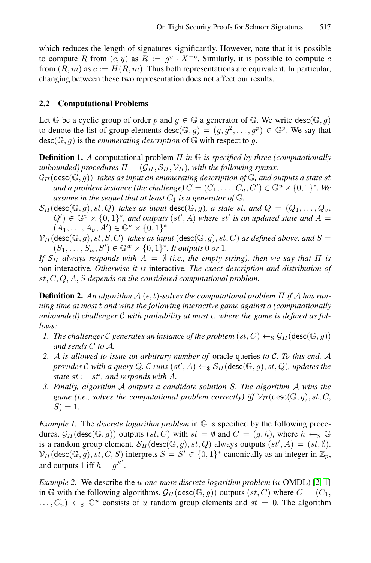which reduces the length of signatures significantly. However, note that it is possible to compute R from  $(c, y)$  as  $R := g^y \cdot X^{-c}$ . Similarly, it is possible to compute c from  $(R, m)$  as  $c := H(R, m)$ . Thus both representations are equivalent. In particular, changing between these two representation does not affect our results.

### **2.2 Computational Problems**

Let  $\mathbb G$  be a cyclic group of order p and  $g \in \mathbb G$  a generator of  $\mathbb G$ . We write desc $(\mathbb G, g)$ to denote the list of group elements desc( $\mathbb{G}, g$ ) =  $(g, g^2, \ldots, g^p) \in \mathbb{G}^p$ . We say that  $\text{desc}(\mathbb{G}, q)$  is the *enumerating description* of  $\mathbb{G}$  with respect to q.

**Definition 1.** *<sup>A</sup>* computational problem Π *in* <sup>G</sup> *is specified by three (computationally unbounded) procedures*  $\Pi = (\mathcal{G}_{\Pi}, \mathcal{S}_{\Pi}, \mathcal{V}_{\Pi})$ *, with the following syntax.* 

- $\mathcal{G}_{\Pi}(\text{desc}(\mathbb{G}, q))$  takes as input an enumerating description of  $\mathbb{G}$ , and outputs a state st *and a problem instance (the challenge)*  $C = (C_1, \ldots, C_u, C') \in \mathbb{G}^u \times \{0, 1\}^*$ *. We*<br>*assume in the sequel that at least*  $C_i$  is a generator of  $\mathbb{G}$ . assume in the sequel that at least  $C_1$  is a generator of  $\mathbb{G}$ .
- $S_{\Pi}(\text{desc}(\mathbb{G}, g), st, Q)$  *takes as input* desc $(\mathbb{G}, g)$ *, a state st, and*  $Q = (Q_1, \ldots, Q_v, Q)$  $Q'$ )  $\in$   $\mathbb{G}^v \times \{0,1\}^*$ *, and outputs*  $(st', A)$  *where*  $st'$  *is an updated state and*  $A = (A \cdot A') \cdot (a \cdot A') \cdot (a \cdot A') \cdot (a \cdot A') \cdot (a \cdot A') \cdot (a \cdot A') \cdot (a \cdot A') \cdot (a \cdot A') \cdot (a \cdot A') \cdot (a \cdot A') \cdot (a \cdot A') \cdot (a \cdot A') \cdot (a \cdot A') \cdot (a \cdot A') \cdot (a \cdot A') \cdot (a \cdot$  $(A_1, \ldots, A_{\nu}, A') \in \mathbb{G}^{\nu} \times \{0, 1\}^*$ .<br>
desc $(\mathbb{G}, a)$  *st S C*) takes as inni
- $V_{\Pi}$ (desc( $\mathbb{G}, g$ ), st, S, C) *takes as input* (desc( $\mathbb{G}, g$ ), st, C) *as defined above, and* S =  $(S_1, \ldots, S_w, S') \in \mathbb{G}^w \times \{0,1\}^*$ *. It outputs* 0 *or* 1*.*  $\sigma$  always responds with  $A = \emptyset$  (i.e., the empty

*If*  $S_{\Pi}$  *always responds with*  $A = \emptyset$  *(i.e., the empty string), then we say that*  $\Pi$  *is* non-interactive*. Otherwise it is* interactive*. The exact description and distribution of* st, C, Q, A, S *depends on the considered computational problem.*

**Definition 2.** An algorithm  $A(\epsilon, t)$ -solves the computational problem  $\Pi$  if  $A$  has run*ning time at most* t *and wins the following interactive game against a (computationally unbounded) challenger* <sup>C</sup> *with probability at most , where the game is defined as follows:*

- *1. The challenger* C *generates an instance of the problem*  $(st, C) \leftarrow_s \mathcal{G}_{\Pi}(\text{desc}(\mathbb{G}, q))$ *and sends* C *to* <sup>A</sup>*.*
- *2.* A *is allowed to issue an arbitrary number of* oracle queries *to* C*. To this end,* A *provides* C with a query Q. C runs  $(st', A) \leftarrow_s S_H(\text{desc}(\mathbb{G}, g), st, Q)$ , updates the *state* st := st *, and responds with* A*.*
- *3. Finally, algorithm* <sup>A</sup> *outputs a candidate solution* S*. The algorithm* <sup>A</sup> *wins the game (i.e., solves the computational problem correctly) iff*  $V_{\Pi}$  $V_{\Pi}$ (desc( $\mathbb{G}, g$ ), st, C,  $S) = 1.$

*Example 1.* The *discrete logarithm problem* in G is specified by the following procedures.  $\mathcal{G}_{\Pi}(\text{desc}(\mathbb{G}, q))$  outputs  $(st, C)$  with  $st = \emptyset$  and  $C = (q, h)$ , where  $h \leftarrow s \mathbb{G}$ is a random group element.  $S_{\Pi}$  (desc  $(\mathbb{G}, g)$ , st,  $Q$ ) always outputs  $(st', A) = (st, \emptyset)$ .<br> $\mathcal{U}_{\Pi}$  (desc  $(\mathbb{G}, g)$ , st,  $C$ ,  $S$ ) interprets  $S - S' \in \{0, 1\}^*$  canonically as an integer in  $\mathbb{Z}$ .  $\mathcal{V}_{\Pi}(\text{desc}(\mathbb{G}, g), st, C, S)$  interprets  $S = S' \in \{0, 1\}^*$  canonically as an integer in  $\mathbb{Z}_p$ , and outputs 1 iff  $h = g^{S'}$ .

*Example 2.* We describe the u*-one-more discrete logarithm problem* (u-OMDL) [2, 1] in G with the following algorithms.  $\mathcal{G}_{\Pi}(\text{desc}(\mathbb{G}, q))$  outputs  $(st, C)$  where  $C = (C_1,$  $\dots, C_u$ )  $\leftarrow$   $\mathbb{G}^u$  consists of u random group elements and  $st = 0$ . The algorithm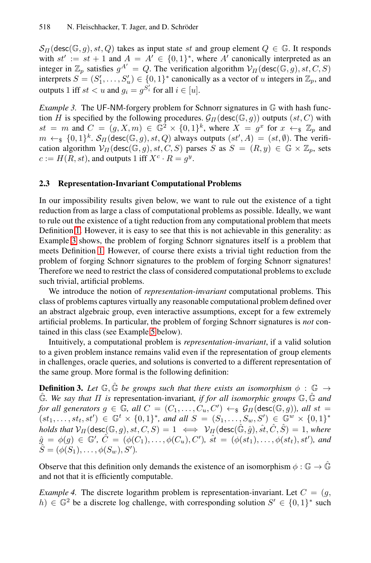<span id="page-6-0"></span> $S_{II}$ (desc( $\mathbb{G}, g$ ), st, Q) takes as input state st and group element  $Q \in \mathbb{G}$ . It responds with  $st' := st + 1$  and  $A = A' \in \{0, 1\}^*$  where  $A'$  canonically interpreted as an with  $st' := st + 1$  and  $A = A' \in \{0, 1\}^*$ , where A' canonically interpreted as an integer in Z, satisfies  $a^{A'} = O$ . The verification algorithm  $\mathcal{V}_{\alpha}$  (desc( $(\mathbb{G}, a)$  st  $C(S)$ ) integer in  $\mathbb{Z}_p$  satisfies  $g^{A'} = Q$ . The verification algorithm  $V_H(\text{desc}(\mathbb{G}, g), st, C, S)$ <br>interprets  $S = (S' - S') \in \{0, 1\}^*$  canonically as a vector of *u* integers in  $\mathbb{Z}_p$  and interprets  $S = (S'_1, \ldots, S'_u) \in \{0, 1\}^*$  canonically as a vector of u integers in  $\mathbb{Z}_p$ , and outputs 1 iff of  $\leq$  u and  $s = sS'_i$  for all  $s \in [u]$ outputs 1 iff  $st < u$  and  $g_i = g^{S'_i}$  for all  $i \in [u]$ .

*Example 3.* The UF-NM-forgery problem for Schnorr signatures in G with hash function H is specified by the following procedures.  $\mathcal{G}_{\Pi}(\mathsf{desc}(\mathbb{G}, g))$  outputs  $(st, C)$  with  $st = m$  and  $C = (g, X, m) \in \mathbb{G}^2 \times \{0,1\}^k$ , where  $X = g^x$  for  $x \leftarrow_s \mathbb{Z}_p$  and  $m \leftarrow s \{0,1\}^k$ .  $S_H(\text{desc}(\mathbb{G}, g), st, Q)$  always outputs  $(st', A) = (st, \emptyset)$ . The verifi-<br>cation algorithm  $\mathcal{V}_H(\text{desc}(\mathbb{G}, g), st, Q)$  parses S as  $S = (R, y) \in \mathbb{G} \times \mathbb{Z}$  sets cation algorithm  $V_{\Pi}$ (desc( $\mathbb{G}, g$ ), st, C, S) parses S as  $S = (R, y) \in \mathbb{G} \times \mathbb{Z}_p$ , sets  $c := H(R, st)$ , and outputs 1 iff  $X<sup>c</sup> \cdot R = g<sup>y</sup>$ .

#### **2.3 Representation-Invariant Computational Problems**

In our impossibility results given below, we want to rule out the existence of a tight reduction from as large a class of computational problems as possible. Ideally, we want to rule out the existence of a tight reduction from any computational problem that meets Definition 1. However, it is easy to see that this is not achievable in this generality: as Example 3 shows, the problem of forging Schnorr signatures itself is a problem that meets Defini[tio](#page-7-0)n 1. However, of course there exists a trivial tight reduction from the problem of forging Schnorr signatures to the problem of forging Schnorr signatures! Therefore we need to restrict the class of considered computational problems to exclude such trivial, artificial problems.

We introduce the notion of *representation-invariant* computational problems. This class of problems captures virtually any reasonable computational problem defined over an abstract algebraic group, even interactive assumptions, except for a few extremely artificial problems. In particular, the problem of forging Schnorr signatures is *not* contained in this class (see Example 5 below).

Intuitively, a computational problem is *representation-invariant*, if a valid solution to a given problem instance remains valid even if the representation of group elements in challenges, oracle queries, and solutions is converted to a different representation of the same group. More formal is the following definition:

**Definition 3.** Let  $\mathbb{G}, \hat{\mathbb{G}}$  be groups such that there exists an isomorphism  $\phi : \mathbb{G} \rightarrow$ <sup>G</sup><sup>ˆ</sup> *. We say that* Π *is* representation-invariant*, if for all isomorphic groups* <sup>G</sup>, <sup>G</sup><sup>ˆ</sup> *and for all generators*  $g \in \mathbb{G}$ *, all*  $C = (C_1, \ldots, C_u, C') \leftarrow \mathcal{G}_{II}(\text{desc}(\mathbb{G}, g))$ *, all*  $st = (st, st, st') \in \mathbb{G}^t \times \{0, 1\}^*$  and all  $S = (S, S') \in \mathbb{G}^w \times \{0, 1\}^*$  $(s_t, \ldots, st_t, st') \in \mathbb{G}^t \times \{0,1\}^*$ , and all  $S = (S_1, \ldots, S_w, S') \in \mathbb{G}^w \times \{0,1\}^*$ <br>holds that  $V = (dsc(C, s), st, C, S) = 1$  (cose  $(\mathbb{G}, \hat{s})$ ) of  $\hat{C}, \hat{S}$ ) = 1 where *holds that*  $V_{\Pi}$  (desc $(\mathbb{G}, g)$ , st,  $C, S) = 1 \iff V_{\Pi}$  (desc $(\hat{\mathbb{G}}, \hat{g})$ ,  $\hat{st}, \hat{C}, \hat{S}) = 1$ , *where*  $\hat{g} = \phi(g) \in \mathbb{G}', \hat{C} = (\phi(C_1), \dots, \phi(C_u), C'), \hat{st} = (\phi(st_1), \dots, \phi(st_t), st'),$  and  $\hat{S} = (\phi(S_1), \dots, \phi(S_n), S')$  $\widetilde{S} = (\phi(S_1), \ldots, \phi(S_w), S').$ 

Observe that this definition only demands the existence of an isomorphism  $\phi : \mathbb{G} \to \hat{\mathbb{G}}$ and not that it is efficiently computable.

*Example 4.* The discrete logarithm problem is representation-invariant. Let  $C = (g, g)$ h) ∈  $\mathbb{G}^2$  be a discrete log challenge, with corresponding solution  $S' \in \{0, 1\}^*$  such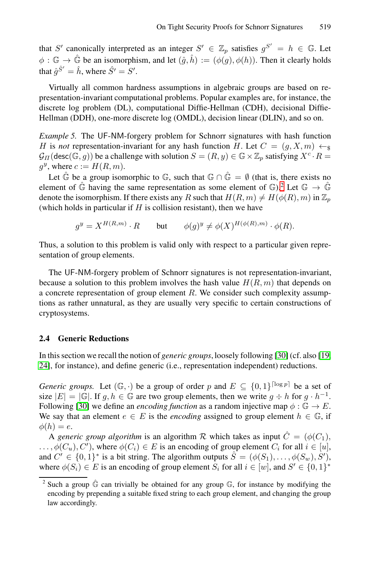<span id="page-7-0"></span>that S' canonically interpreted as an integer  $S' \in \mathbb{Z}_p$  satisfies  $g^{S'} = h \in \mathbb{G}$ . Let  $\phi : \mathbb{G} \to \hat{\mathbb{G}}$  be an isomorphism, and let  $(\hat{g}, \hat{h}) := (\phi(g), \phi(h))$ . Then it clearly holds that  $\hat{g}^{\hat{S}'} = \hat{h}$ , where  $\hat{S}' = S'$ .

Virtually all common hardness assumptions in algebraic groups are based on representation-invariant computational problems. Popular examples are, for instance, the discrete log problem (DL), computational Diffie-[He](#page-7-1)llman (CDH), decisional Diffie-Hellman (DDH), one-more discrete log (OMDL), decision linear (DLIN), and so on.

*Example 5.* The UF-NM-forgery problem for Schnorr signatures with hash function H is *not* representation-invariant for any hash function H. Let  $C = (q, X, m) \leftarrow$  $\mathcal{G}_{\Pi}(\text{desc}(\mathbb{G}, g))$  be a challenge with solution  $S = (R, y) \in \mathbb{G} \times \mathbb{Z}_p$  satisfying  $X^c \cdot R =$  $q^y$ , where  $c := H(R, m)$ .

Let  $\hat{\mathbb{G}}$  be a group isomorphic to  $\mathbb{G}$ , such that  $\mathbb{G} \cap \hat{\mathbb{G}} = \emptyset$  (that is, there exists no element of  $\hat{G}$  having the same representation as some element of  $\mathbb{G}$ ).<sup>2</sup> Let  $\mathbb{G} \to \hat{G}$ denote the isomorphism. If there exists any R such that  $H(R, m) \neq H(\phi(R), m)$  in  $\mathbb{Z}_p$ (which holds in particular if  $H$  is collision resistant), then we have

$$
g^y = X^{H(R,m)} \cdot R
$$
 but  $\phi(g)^y \neq \phi(X)^{H(\phi(R),m)} \cdot \phi(R)$ .

Thus, a solution to this problem is valid only with respect to a particular given representation of group elements.

The UF-NM-forgery problem of Schnorr signatures is not r[epre](#page-18-11)sentation-invariant, because a solution to this problem involves the h[ash](#page-18-6) value  $H(R, m)$  that depends on a concrete representation of group element  $R$ . We consider such complexity assumptions as rather unnatural, as they are usually very specific to certain constructions of cryptosystems.

### <span id="page-7-1"></span>**2.4 Generic Reductions**

In this section we recall the notion of *generic groups*, loosely following [30] (cf. also [19, 24], for instance), and define generic (i.e., representation independent) reductions.

*Generic groups.* Let  $(\mathbb{G}, \cdot)$  be a group of order p and  $E \subseteq \{0, 1\}^{\lceil \log p \rceil}$  be a set of size  $|E| = |\mathbb{G}|$ . If  $q, h \in \mathbb{G}$  are two group elements, then we write  $q \div h$  for  $q \cdot h^{-1}$ . Following [30] we define an *encoding function* as a random injective map  $\phi : \mathbb{G} \to E$ . We say that an element  $e \in E$  is the *encoding* assigned to group element  $h \in \mathbb{G}$ , if  $\phi(h) = e.$ 

A *generic group algorithm* is an algorithm R which takes as input  $\hat{C} = (\phi(C_1),$  $\ldots$ ,  $\phi(C_u)$ , C'), where  $\phi(C_i) \in E$  is an encoding of group element  $C_i$  for all  $i \in [u]$ ,<br>and  $C' \in \{0, 1\}^*$  is a bit string. The algorithm outputs  $\hat{S} = (\phi(S_i) - \phi(S_i) S')$ and  $C' \in \{0,1\}^*$  is a bit string. The algorithm outputs  $\hat{S} = (\phi(S_1), \dots, \phi(S_w), \hat{S}')$ ,<br>where  $\phi(S_i) \in E$  is an encoding of group element S, for all  $i \in [w]$  and  $S' \in I_0$ ,  $11^*$ where  $\phi(S_i) \in E$  is an encoding of group element  $S_i$  for all  $i \in [w]$ , and  $S' \in \{0, 1\}^*$ 

<sup>&</sup>lt;sup>2</sup> Such a group  $\hat{\mathbb{G}}$  can trivially be obtained for any group  $\mathbb{G}$ , for instance by modifying the encoding by prepending a suitable fixed string to each group element, and changing the group law accordingly.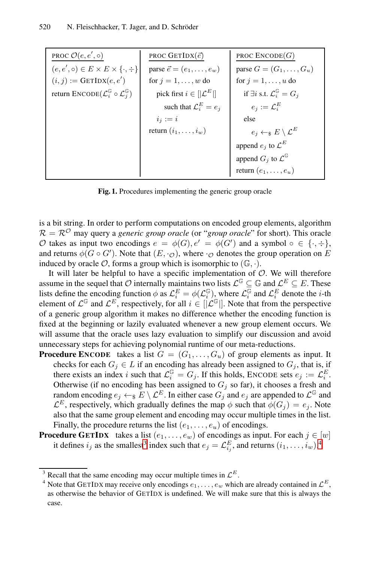| PROC $\mathcal{O}(e,e',\circ)$                                                      | PROC GETIDX( $\vec{e}$ )             | PROC $\text{ENCODE}(G)$                                 |
|-------------------------------------------------------------------------------------|--------------------------------------|---------------------------------------------------------|
| $(e, e', o) \in E \times E \times \{\cdot, \div\}$                                  | parse $\vec{e} = (e_1, \ldots, e_w)$ | parse $G = (G_1, \ldots, G_n)$                          |
| $(i, j) := \text{GETDX}(e, e')$                                                     | for $j = 1, \ldots, w$ do            | for $j = 1, \ldots, u$ do                               |
| return $\text{ENCODE}(\mathcal{L}_i^{\mathbb{G}} \circ \mathcal{L}_i^{\mathbb{G}})$ | pick first $i \in [ \mathcal{L}^E ]$ | if $\exists i$ s.t. $\mathcal{L}_i^{\mathbb{G}} = G_i$  |
|                                                                                     | such that $\mathcal{L}^E_i = e_i$    | $e_j := \mathcal{L}_i^E$                                |
|                                                                                     | $i_i := i$                           | else                                                    |
|                                                                                     | return $(i_1, \ldots, i_w)$          | $e_j \leftarrow_{\mathbb{S}} E \setminus \mathcal{L}^E$ |
|                                                                                     |                                      | append $e_j$ to $\mathcal{L}^E$                         |
|                                                                                     |                                      | append $G_j$ to $\mathcal{L}^{\mathbb{G}}$              |
|                                                                                     |                                      | return $(e_1, \ldots, e_u)$                             |

**Fig. 1.** Procedures implementing the generic group oracle

is a bit string. In order to perform computations on encoded group elements, algorithm  $\mathcal{R} = \mathcal{R}^{\mathcal{O}}$  may query a *generic group oracle* (or "*group oracle*" for short). This oracle O takes as input two encodings  $e = \phi(G), e' = \phi(G')$  and a symbol  $\circ \in \{\cdot, \div\}$ ,<br>and returns  $\phi(G \circ G')$ . Note that  $(E, \infty)$ , where  $\circ \circ$  denotes the group operation on E and returns  $\phi(G \circ G')$ . Note that  $(E, \cdot_{\mathcal{O}})$ , where  $\cdot_{\mathcal{O}}$  denotes the group operation on E induced by oracle  $\mathcal{O}$  forms a group which is isomorphic to  $(\mathbb{G}, \cdot)$ induced by oracle  $\mathcal{O}$ , forms a group which is isomorphic to  $(\mathbb{G}, \cdot)$ .

It will later be helpful to have a specific implementation of  $O$ . We will therefore assume in the sequel that  $\mathcal O$  internally maintains two lists  $\mathcal L^G \subseteq \mathbb G$  and  $\mathcal L^E \subseteq E$ . These lists define the encoding function  $\phi$  as  $\mathcal{L}_i^E = \phi(\mathcal{L}_i^{\mathbb{G}})$ , where  $\mathcal{L}_i^{\mathbb{G}}$  and  $\mathcal{L}_i^E$  denote the *i*-th element of  $\mathcal{L}^{\mathbb{G}}$  and  $\mathcal{L}^E$  respectively for all  $i \in [|\mathcal{L}^{\mathbb{G}}|]$ . Note element of  $\mathcal{L}^G$  and  $\mathcal{L}^E$ , respectively, for all  $i \in | \mathcal{L}^G |$ . Note that from the perspective of a generic group algorithm it makes no difference whether the encoding function is fixed at the beginning or lazily evaluated whenever a new group element occurs. We will assume that the oracle uses lazy evaluation to simplify our discussion and avoid unnecessary steps for achieving polynomial runtime of our meta-reductions.

- <span id="page-8-1"></span><span id="page-8-0"></span>**Procedure ENCODE** takes a list  $G = (G_1, \ldots, G_u)$  of group elements as input. It checks for each  $G_j \in L$  if an encoding has already been assigned to  $G_j$ , that is, if checks [f](#page-8-0)or each  $G_j \in L$  if an encoding has already been a[ss](#page-8-1)igned to  $G_j$ , that is, if<br>there exists an index i such that  $\mathcal{C}^{\mathbb{G}} = \mathcal{C}$ . If this holds. ENCODE sets  $e_j := \mathcal{C}^E$ there exists an index i such that  $\mathcal{L}_{i}^{\mathbb{G}} = G_j$ . If this holds, ENCODE sets  $e_j := \mathcal{L}_{i}^E$ .<br>Otherwise (if no encoding has been assigned to  $G_i$  so far) it chooses a fresh and Otherwise (if no encoding has been assigned to  $G_j$  so far), it chooses a fresh and<br>random encoding  $e_i \leftarrow e E \setminus C^E$  In either case  $G_i$  and  $e_i$  are appended to  $C^G$  and random encoding  $e_j \leftarrow \E E \setminus \mathcal{L}^E$ . In either case  $G_j$  and  $e_j$  are appended to  $\mathcal{L}^G$  and  $\mathcal{L}^E$ , respectively, which gradually defines the map  $\phi$  such that  $\phi(G_i) = e_i$ . Note also that the same group element and encoding may occur multiple times in the list. Finally, the procedure returns the list  $(e_1, \ldots, e_u)$  of encodings.
- **Procedure GETIDX** takes a list  $(e_1, \ldots, e_w)$  of encodings as input. For each  $j \in [w]$ it defines  $i_j$  as the smallest<sup>3</sup> index such that  $e_j = \mathcal{L}_{i_j}^E$ , and returns  $(i_1, \ldots, i_w)$ .<sup>4</sup>

<sup>&</sup>lt;sup>3</sup> Recall that the same encoding may occur multiple times in  $\mathcal{L}^E$ .<br><sup>4</sup> Note that GETIDX may receive only encodings  $e_1, \ldots, e_w$  which are already contained in  $\mathcal{L}^E$ . as otherwise the behavior of GETIDX is undefined. We will make sure that this is always the case.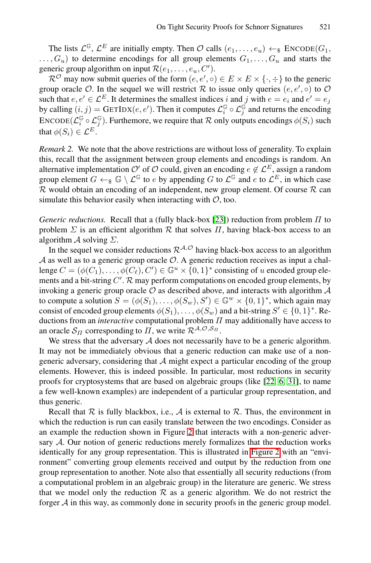The lists  $\mathcal{L}^{\mathbb{G}}$ ,  $\mathcal{L}^E$  are initially empty. Then  $\mathcal{O}$  calls  $(e_1,\ldots,e_u) \leftarrow_s \text{ENCODE}(G_1,$  $\dots, G_u$ ) to determine encodings for all group elements  $G_1, \dots, G_u$  and starts the generic group algorithm on input  $\mathcal{R}(e_1, \ldots, e_u, C')$ .<br>  $\mathcal{R}^{\mathcal{O}}$  may now submit queries of the form  $(e, e' \circ c')$ .

 $\mathcal{R}^{\mathcal{O}}$  may now submit queries of the form  $(e, e', \circ) \in E \times E \times \{\cdot, \div\}$  to the generic vun oracle  $\mathcal{O}$ . In the sequel we will restrict  $\mathcal{R}$  to issue only queries  $(e, e', \circ)$  to  $\mathcal{O}$ group oracle O. In the sequel we will restrict R to issue only queries  $(e, e', \circ)$  to O such that  $e, e' \in \mathcal{L}^E$ . It determines the smallest indices i and i with  $e - e$ , and  $e' - e$ . such that  $e, e' \in \mathcal{L}^E$ . It determines the smallest indices i and j with  $e = e_i$  and  $e' = e_j$ by calling  $(i, j) = \text{GETDX}(e, e')$ . Then it computes  $\mathcal{L}_{i}^{\mathbb{G}} \circ \mathcal{L}_{j}^{\mathbb{G}}$  and returns the encoding ENCODE( $\mathcal{L}_i^{\mathbb{G}} \circ \mathcal{L}_j^{\mathbb{G}}$ ). Furthemore, we require that  $\mathcal{R}$  only outputs encodings  $\phi(S_i)$  such that  $\phi(S_i) \subset \mathcal{L}_i^{\mathbb{F}}$ that  $\phi(S_i) \in \mathcal{L}^E$ .

*Remark 2.* We note that the abo[ve](#page-18-12) [re](#page-18-12)strictions are without loss of generality. To explain this, recall that the assignment between group elements and encodings is random. An alternative implementation  $O'$  of  $O$  could, given an encoding  $e \notin \mathcal{L}^E$ , assign a random<br>group element  $G \leftarrow_{\mathbb{R}} \mathbb{C} \setminus \mathcal{L}^{\mathbb{G}}$  to e by appending  $G$  to  $\mathcal{L}^{\mathbb{G}}$  and e to  $\mathcal{L}^E$  in which case group element  $G \leftarrow_{\S} \mathbb{G} \setminus \mathcal{L}^{\mathbb{G}}$  to e by appending G to  $\mathcal{L}^{\mathbb{G}}$  and e to  $\mathcal{L}^{\mathbb{E}}$ , in which case  $\mathbb{R}$  would obtain an encoding of an independent new group element. Of course  $\mathbb{R}$  can  $\mathcal R$  would obtain an encoding of an independent, new group element. Of course  $\mathcal R$  can simulate this behavior easily when interacting with  $\mathcal{O}$ , too.

*Generic reductions.* Recall that a (fully black-box [23]) reduction from problem Π to problem  $\Sigma$  is an efficient algorithm  $\mathcal R$  that solves  $\Pi$ , having black-box access to an algorithm  $\mathcal A$  solving  $\Sigma$ .

In the sequel we consider reductions  $\mathcal{R}^{A,O}$  having black-box access to an algorithm  $A$  as well as to a generic group oracle  $O$ . A generic reduction receives as input a challenge  $C = (\phi(C_1), \dots, \phi(C_\ell), C') \in \mathbb{G}^u \times \{0, 1\}^*$  consisting of u encoded group elements and a bit-string  $C'$  R may perform computations on encoded group elements, by ments and a bit-string C'. R may perform computations on encoded group elements, by<br>invoking a generic group oracle (2) as described above, and interacts with algorithm 4 invoking a generic group oracle  $\mathcal O$  as described above, and interacts with algorithm  $\mathcal A$ to compute a solution  $S = (\phi(S_1), \dots, \phi(S_w), S') \in \mathbb{G}^w \times \{0, 1\}^*$  $S = (\phi(S_1), \dots, \phi(S_w), S') \in \mathbb{G}^w \times \{0, 1\}^*$  $S = (\phi(S_1), \dots, \phi(S_w), S') \in \mathbb{G}^w \times \{0, 1\}^*$  $S = (\phi(S_1), \dots, \phi(S_w), S') \in \mathbb{G}^w \times \{0, 1\}^*$  $S = (\phi(S_1), \dots, \phi(S_w), S') \in \mathbb{G}^w \times \{0, 1\}^*$ , which again may<br>consist of encoded group elements  $\phi(S_1)$ ,  $\phi(S_2)$  and a bit-string  $S' \in \{0, 1\}^*$ . consist of encoded group elements  $\phi(S_1), \ldots, \phi(S_w)$  and a bit-string  $S' \in \{0, 1\}^*$ . Reductions from an *interactive* computational problem Π may additionally have access to an oracle  $S_{\Pi}$  corresponding to  $\Pi$ , we write  $\mathcal{R}^{\mathcal{A}, \mathcal{O}, \mathcal{S}_{\Pi}}$ .

We stress that the adversary  $A$  does not necessarily have to be a generic algorithm. It may not be immediat[ely](#page-10-0) obvious that a generic reduction can make use of a nongeneric adversary, considering that A might expect a particular encoding of the group elements. However, this is indeed possibl[e. In parti](#page-10-0)cular, most reductions in security proofs for cryptosystems that are based on algebraic groups (like [22, 6, 31], to name a few well-known examples) are independent of a particular group representation, and thus generic.

Recall that  $R$  is fully blackbox, i.e.,  $A$  is external to  $R$ . Thus, the environment in which the reduction is run can easily translate between the two encodings. Consider as an example the reduction shown in Figure 2 that interacts with a non-generic adversary A. Our notion of generic reductions merely formalizes that the reduction works identically for any group representation. This is illustrated in Figure 2 with an "environment" converting group elements received and output by the reduction from one group representation to another. Note also that essentially all security reductions (from a computational problem in an algebraic group) in the literature are generic. We stress that we model only the reduction  $R$  as a generic algorithm. We do not restrict the forger  $A$  in this way, as commonly done in security proofs in the generic group model.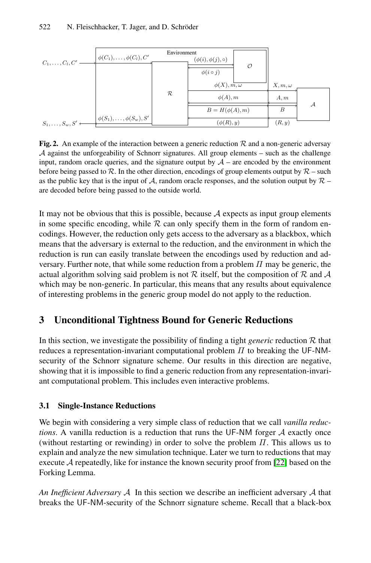<span id="page-10-0"></span>

**Fig. 2.** An example of the interaction between a generic reduction  $\mathcal{R}$  and a non-generic adversay  $A$  against the unforgeability of Schnorr signatures. All group elements – such as the challenge input, random oracle queries, and the signature output by  $A$  – are encoded by the environment before being passed to R. In the other direction, encodings of group elements output by  $\mathcal{R}$  – such as the public key that is the input of  $A$ , random oracle responses, and the solution output by  $R$ are decoded before being passed to the outside world.

It may not be obvious that this is possible, because  $A$  expects as input group elements in some specific encoding, while  $\mathcal R$  can only specify them in the form of random encodings. However, the reduction only gets access to the adversary as a blackbox, which means that the adversary is external to the reduction, and the environment in which the reduction is run can easily translate between the encodings used by reduction and adversary. Further note, that while some reduction from a problem  $\Pi$  may be generic, the actual algorithm solving said problem is not R itself, but the composition of R and A which may be non-generic. In particular, this means that any results about equivalence of interesting problems in the generic group model do not apply to the reduction.

## **3 Unconditional Tightness Bound for Generic Reductions**

<span id="page-10-1"></span>In this section, we investigate the possibility of finding a tight *generic* reduction  $R$  that reduces a representation-invariant computational problem  $\Pi$  to breaking the UF-NMsecurity of the Schnorr signature scheme. Our results in this direction are negative, showing that it is impossible to find a generic reduction from any representation-invariant computational problem. This includes even int[erac](#page-18-3)tive problems.

#### **3.1 Single-Instance Reductions**

We begin with considering a very simple class of reduction that we call *vanilla reductions*. A vanilla reduction is a reduction that runs the UF-NM forger  $A$  exactly once (without restarting or rewinding) in order to solve the problem  $\Pi$ . This allows us to explain and analyze the new simulation technique. Later we turn to reductions that may execute A repeatedly, like for instance the known security proof from [22] based on the Forking Lemma.

*An Inefficient Adversary* A In this section we describe an inefficient adversary A that breaks the UF-NM-security of the Schnorr signature scheme. Recall that a black-box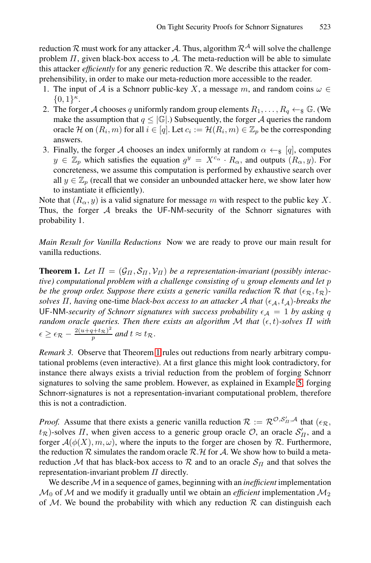reduction  $R$  must work for any attacker A. Thus, algorithm  $R^A$  will solve the challenge problem  $\Pi$ , given black-box access to  $\mathcal{A}$ . The meta-reduction will be able to simulate this attacker *efficiently* for any generic reduction R. We describe this attacker for comprehensibility, in order to make our meta-reduction more accessible to the reader.

- 1. The input of A is a Schnorr public-key X, a message m, and random coins  $\omega \in$  $\{0,1\}^{\kappa}$ .
- <span id="page-11-0"></span>2. The forger A chooses q uniformly random group elements  $R_1, \ldots, R_q \leftarrow \S$ . (We make the assumption that  $q \leq |\mathbb{G}|$ .) Subsequently, the forger A queries the random oracle H on  $(R_i, m)$  for all  $i \in [q]$ . Let  $c_i := \mathcal{H}(R_i, m) \in \mathbb{Z}_p$  be the corresponding answers.
- 3. Finally, the forger A chooses an index uniformly at random  $\alpha \leftarrow_{\S} [q]$ , computes  $y \in \mathbb{Z}_p$  which satisfies the equation  $g^y = X^{c_\alpha} \cdot R_\alpha$ , and outputs  $(R_\alpha, y)$ . For concreteness, we assume this computation is performed by exhaustive search over all  $y \in \mathbb{Z}_p$  (recall that we consider an unbounded attacker here, we show later how to instantiate it efficiently).

Note that  $(R_{\alpha}, y)$  is a valid signature for message m with respect to the public key X. Thus, the forger  $A$  breaks the UF-NM-security of the Schnorr signatures with probability 1.

*Main Result for Vanilla Reductions* Now we are ready to prove our main result for vanilla reductions.

**Theorem 1.** L[et](#page-11-0)  $\Pi = (G_{\Pi}, S_{\Pi}, V_{\Pi})$  be a representation-invariant (possibly interac*tive) computational problem with a challenge consisting of* u *group elements and let* p *be the group order. Suppose there exists a generic vanilla reduction* R *that*  $(\epsilon_R, t_R)$ *solves*  $\Pi$ , having one-time *black-box access to an attac[ker](#page-7-0)* A *that* ( $\epsilon_A$ ,  $t_A$ )-*breaks the* UF-NM-security of Schnorr signatures with success probability  $\epsilon_A = 1$  by asking q *random oracle queries. Then there exists an algorithm* M *that*  $(\epsilon, t)$ *-solves*  $\Pi$  *with*  $\epsilon \geq \epsilon_{\mathcal{R}} - \frac{2(u+q+t_{\mathcal{R}})^2}{p}$  and  $t \approx t_{\mathcal{R}}$ .

*Remark 3.* Observe that Theorem 1 rules out reductions from nearly arbitrary computational problems (even interactive). At a first glance this might look contradictory, for instance there always exists a trivial reduction from the problem of forging Schnorr signatures to solving the same problem. However, as explained in Example 5, forging Schnorr-signatures is not a representation-invariant computational problem, therefore this is not a contradiction.

*Proof.* Assume that there exists a generic vanilla reduction  $\mathcal{R} := \mathcal{R}^{\mathcal{O}, S_H', A}$  that  $(\epsilon_{\mathcal{R}},$ <br>  $\epsilon_{\mathcal{R}}$ , colves  $H$ , when given access to a generic group oracle  $\mathcal{O}$ , an oracle  $S'$ , and a  $t_{\mathcal{R}}$ )-solves  $\Pi$ , when given access to a generic group oracle  $\mathcal{O}$ , an oracle  $S'_{\Pi}$ , and a forger  $A(\phi(X), m(\omega))$  where the inputs to the forger are chosen by  $\mathcal{R}$ . Furthermore forger  $A(\phi(X), m, \omega)$ , where the inputs to the forger are chosen by R. Furthermore, the reduction R simulates the random oracle R.H for A. We show how to build a metareduction M that has black-box access to R and to an oracle  $S_{II}$  and that solves the representation-invariant problem  $\Pi$  directly.

We describe  $M$  in a sequence of games, beginning with an *inefficient* implementation  $\mathcal{M}_0$  of  $\mathcal M$  and we modify it gradually until we obtain an *efficient* implementation  $\mathcal{M}_2$ of  $M$ . We bound the probability with which any reduction  $R$  can distinguish each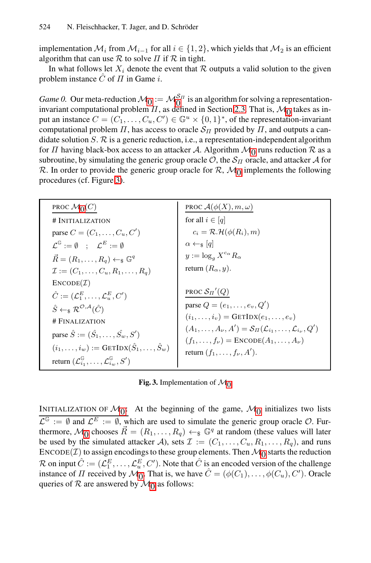<span id="page-12-0"></span>implementation  $\mathcal{M}_i$  from  $\mathcal{M}_{i-1}$  for all  $i \in \{1, 2\}$ , which yields that  $\mathcal{M}_2$  is an efficient algorithm that can use  $\mathcal R$  to solve  $\Pi$  if  $\mathcal R$  in tight.

In what follows let  $X_i$  denote [th](#page-12-0)e event that R outputs a valid solution to the given problem instance  $\hat{C}$  of  $\Pi$  in Game i.

*G[am](#page-12-1)e 0.* Our meta-reduction  $\mathcal{M}_0 := \mathcal{M}_0^{S_H}$  $\mathcal{M}_0 := \mathcal{M}_0^{S_H}$  $\mathcal{M}_0 := \mathcal{M}_0^{S_H}$  is an algorithm for solving a representationinvariant computational problem  $\Pi$ , as defined in Section 2.3. That is,  $\mathcal{M}_0$  takes as in-<br>put an instance  $C = (C_1, C_2, C_3) \in \mathbb{C}^u \times \{0, 1\}^*$  of the representation-invariant put an instance  $C = (C_1, \ldots, C_u, C') \in \mathbb{G}^u \times \{0, 1\}^*$ , of the representation-invariant computational problem  $H$  has access to oracle  $S_H$  provided by  $H$  and outputs a cancomputational problem  $\Pi$ , has access to oracle  $S_\Pi$  provided by  $\Pi$ , and outputs a candidate solution  $S$ .  $R$  is a generic reduction, i.e., a representation-independent algorithm for  $\Pi$  having black-box access to an attacker A. Algorithm  $M_0$  runs reduction  $R$  as a subroutine, by simulating the generic group oracle  $\mathcal{O}$ , the  $\mathcal{S}_{\Pi}$  oracle, and attacker A for R. In order to provide the generic group oracle for R,  $\mathcal{M}_0$  implements the following procedures (cf. Figure 3).

<span id="page-12-1"></span>

| PROC $\mathcal{M}_0(C)$                                                               | PROC $\mathcal{A}(\phi(X), m, \omega)$                                                         |
|---------------------------------------------------------------------------------------|------------------------------------------------------------------------------------------------|
| # INITIALIZATION                                                                      | for all $i \in [q]$                                                                            |
| parse $C = (C_1, \ldots, C_u, C')$                                                    | $c_i = \mathcal{R} \mathcal{H}(\phi(R_i), m)$                                                  |
| $\mathcal{L}^{\mathbb{G}} := \emptyset \quad ; \quad \mathcal{L}^E := \emptyset$      | $\alpha \leftarrow_{\mathbb{S}} [q]$                                                           |
| $\vec{R} = (R_1, \ldots, R_q) \leftarrow_{\$} \mathbb{G}^q$                           | $y := \log_a X^{c_\alpha} R_\alpha$                                                            |
| $\mathcal{I} := (C_1, \ldots, C_u, R_1, \ldots, R_a)$                                 | return $(R_{\alpha}, y)$ .                                                                     |
| $ENCODE(\mathcal{I})$                                                                 |                                                                                                |
| $\hat{C} := (\mathcal{L}_1^E, \dots, \mathcal{L}_u^E, C')$                            | PROC $S_{\Pi}'(Q)$                                                                             |
| $\hat{S} \leftarrow_{\rm s} \mathcal{R}^{\mathcal{O},\mathcal{A}}(\hat{C})$           | parse $Q = (e_1, , e_v, Q')$                                                                   |
| # FINALIZATION                                                                        | $(i_1,\ldots,i_v) = \text{GETDX}(e_1,\ldots,e_v)$                                              |
| parse $\hat{S} := (\hat{S}_1, \dots, \hat{S}_w, S')$                                  | $(A_1,\ldots,A_{\nu},A')=\mathcal{S}_{\Pi}(\mathcal{L}_{i_1},\ldots,\mathcal{L}_{i_{\nu}},Q')$ |
|                                                                                       | $(f_1,\ldots,f_{\nu})$ = ENCODE $(A_1,\ldots,A_{\nu})$                                         |
| $(i_1,\ldots,i_w):=\text{GETDX}(\hat{S}_1,\ldots,\hat{S}_w)$                          | return $(f_1, \ldots, f_{\nu}, A')$ .                                                          |
| return $(\mathcal{L}_{i_1}^{\mathbb{G}}, \ldots, \mathcal{L}_{i_m}^{\mathbb{G}}, S')$ |                                                                                                |

**Fig. 3.** Implement[atio](#page-12-0)n of  $\mathcal{M}_0$ 

INITIALIZAT[IO](#page-12-0)N OF  $M_0$ : At the beginning of the game,  $M_0$  initializes two lists  $\mathcal{L}^{\mathbb{G}} := \emptyset$  and  $\mathcal{L}^{E} := \emptyset$ , which are used to simulate the generic group oracle  $\mathcal{O}$ . Furthermore,  $M_0$  chooses  $\vec{R} = (R_1, \ldots, R_q) \leftarrow \S \mathbb{G}^q$  at random (these values will later be used by the simulated attacker A), sets  $\mathcal{I} := (C_1, \ldots, C_u, R_1, \ldots, R_q)$ , and runs ENCODE(I) to assign encodings to these group elements. Then  $\mathcal{M}_0$  starts the reduction R on input  $\hat{C} := (\mathcal{L}_1^E, \dots, \mathcal{L}_u^E, C')$ . Note that  $\hat{C}$  is an encoded version of the challenge<br>instance of H received by  $M_2$ . That is, we have  $\hat{C} = (\phi(C_1), \phi(C_2), C')$ . Oracle  $\kappa$  on input  $C := (L_1^{\kappa}, \dots, L_u^{\kappa}, C')$ . Note that C is an encoded version of the challenge<br>instance of  $\Pi$  received by  $\mathcal{M}_0$ . That is, we have  $\hat{C} = (\phi(C_1), \dots, \phi(C_u), C')$ . Oracle<br>queries of  $\mathcal R$  are answered by  $\mathcal$ queries of  $R$  are answered by  $\mathcal{M}_0$  as follows: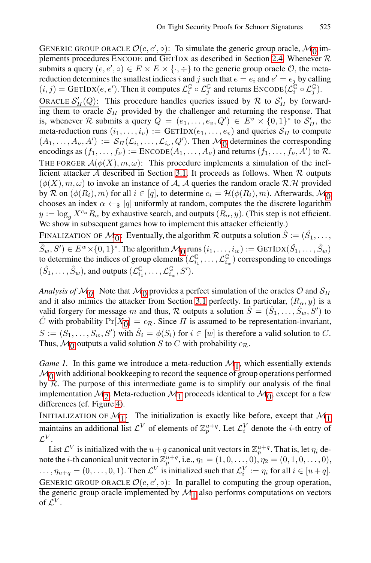GENERIC GROUP ORACLE  $\mathcal{O}(e, e', \circ)$ : To simulate the generic group oracle,  $\mathcal{M}_0$  im-<br>plements procedures ENCODE and GETIDX as described in Section 2.4. Whenever R plements procedures ENCODE and GETIDX as described in Section 2.4. Whenever R submits a query  $(e, e', \circ) \in E \times E \times \{\cdot, \div\}$  to the generic group oracle  $\mathcal{O}$ , the meta-<br>reduction determines the smallest indices *i* and *i* such that  $e - e$ , and  $e' - e$ , by calling reduction determines the smallest indices i and j such that  $e = e_i$  and  $e' = e_j$  by calling  $(i, j) = \text{GETDX}(e, e')$ . Then it computes  $\mathcal{L}_{i}^{\mathbb{G}} \circ \mathcal{L}_{j}^{\mathbb{G}}$  and returns  $\text{ENCODE}(\mathcal{L}_{i}^{\mathbb{G}} \circ \mathcal{L}_{j}^{\mathbb{G}})$ . ORACLE  $S'_H(Q)$ : [This](#page-10-1) procedure handles queries issued by R to  $S'_H$  by forward-<br>ing them to oracle  $S_{\text{II}}$  provided by the challenger and returning the response. That ing them to oracle  $S_{\Pi}$  provided by the challenger and returning the response. That is, whenever R submits a query  $Q = (e_1, \ldots, e_v, Q') \in E^v \times \{0, 1\}^*$  to  $S'_{II}$ , the meta-reduction runs  $(i, \ldots, i) := \text{GETIN}(e, \ldots, e)$  and queries  $S_{II}$  to compute meta-reduction runs  $(i_1,\ldots,i_v) := \text{GETDX}(e_1,\ldots,e_v)$  and queries  $\mathcal{S}_{\Pi}$  to compute  $(A_1, \ldots, A_{\nu}, A') := \mathcal{S}_{\Pi}(\mathcal{L}_{i_1}, \ldots, \mathcal{L}_{i_{\nu}}, Q')$ . Then  $\mathcal{M}_0$  determines the corresponding encodings as  $(f, f) := \text{ENCORF}(A, A)$  and returns  $(f, f')$  to  $\mathcal{P}$ encodings as  $(f_1, \ldots, f_\nu) := \text{ENCODE}(A_1, \ldots, A_\nu)$  and returns  $(f_1, \ldots, f_\nu, A')$  to R.<br>This popmer  $A(A(\mathbf{X}), \ldots, \mathbf{X})$ . This preseding implements a simulation of the installation T[HE](#page-12-0) FORGER  $\mathcal{A}(\phi(X), m, \omega)$ : This procedure implements a simulation of the inefficient attacker A des[cr](#page-12-0)ibed in Section 3.1. It proceeds as follows. When  $\mathcal R$  outputs  $(\phi(X), m, \omega)$  to invoke an instance of A, A queries the random oracle R.H provided by R on  $(\phi(R_i), m)$  for all  $i \in [q]$ , to determine  $c_i = \mathcal{H}(\phi(R_i), m)$ . Afterwards,  $\mathcal{M}_{\mathbf{0}}$ chooses an index  $\alpha \leftarrow_{\S} [q]$  uniformly at random, computes the the discrete logarithm  $y := \log_a X^{c_\alpha} R_\alpha$  $y := \log_a X^{c_\alpha} R_\alpha$  $y := \log_a X^{c_\alpha} R_\alpha$  by exhaustive search, and outputs  $(R_\alpha, y)$ . (This step is not efficient. We show in subsequent ga[mes](#page-10-1) how to implement this attacker efficiently.)

<span id="page-13-0"></span>FINALIZATION OF  $\mathcal{M}_0$ : Eventually, the algorithm R outputs a solution  $S := (S_1, \ldots, S_n)$  $\hat{S}_w, S' \in E^w \times \{0, 1\}^*$ . The algorithm  $\mathcal{M}_0$  runs  $(i_1, \ldots, i_w) := \text{GETDX}(\hat{S}_1, \ldots, \hat{S}_w)$ <br>to determine the indices of group elements  $(\mathcal{L}_{i_1}^{\mathbb{G}}, \ldots, \mathcal{L}_{i_w}^{\mathbb{G}})$  corresponding to encodings  $(\hat{S}_1, \ldots, \hat{S}_w)$ , and outputs  $(\mathcal{L}_{i_1}^{\mathbb{G}}, \ldots, \mathcal{L}_{i_w}^{\mathbb{G}}, S')$ .

*Analysis of*  $M_0$ . Note that  $M_0$  provi[de](#page-13-0)s a perfect simulation of the oracles  $\mathcal{O}$  and  $\mathcal{S}_{\Pi}$ and it also mimics the attacker from Section 3.1 perfectly. In particular,  $(R_{\alpha}, y)$  is a valid forgery for message m and thus,  $\mathcal{R}$  outputs a solution  $\hat{S} = (\hat{S}_1, \dots, \hat{S}_w, S')$  to  $\hat{C}$  with probability  $Pr[X_0] = \epsilon_0$ . Since  $\Pi$  is assumed to be representation-invariant  $\hat{C}$  [wi](#page-14-1)th probability  $Pr[X_0] = \epsilon_{\mathcal{R}}$  $Pr[X_0] = \epsilon_{\mathcal{R}}$  $Pr[X_0] = \epsilon_{\mathcal{R}}$ . Since  $\Pi$  is [ass](#page-12-0)umed to be representation-invariant,  $S := (S_1, \ldots, S_w, S')$  with  $\hat{S}_i = \phi(S_i)$  for  $i \in [w]$  is therefore a valid solution to C.<br>Thus  $M_0$  outputs a valid solution S to C with probability  $\epsilon_0$ . Thu[s,](#page-13-0)  $\mathcal{M}_0$  outputs a valid solution S to C with probability  $\epsilon_{\mathcal{R}}$ .

*Game 1.* In this game we introduce a meta-reduction  $\mathcal{M}_1$ , which essentially extends  $\mathcal{M}_0$  with additional bookkeeping to record the sequence of group operations performed by  $R$ . The purpose of this intermediate game is to simplify our analysis of the final implementation  $M_2$ . Meta-reduction  $M_1$  proceeds identical to  $M_0$ , except for a few differences (cf. Figure 4).

INITIALIZATION OF  $M_1$ [:](#page-13-0) The initialization is exactly like before, except that  $M_1$ maintains an additional list  $\mathcal{L}^V$  of elements of  $\mathbb{Z}_p^{u+q}$ . Let  $\mathcal{L}_i^V$  denote the *i*-th entry of  $cV$  $\mathcal{L}^V$ .

List  $\mathcal{L}^V$  is initialized with the  $u+q$  canonical unit vectors in  $\mathbb{Z}_p^{u+q}$ . That is, let  $\eta_i$  denote the *i*-th canonical unit vector in  $\mathbb{Z}_p^{u+q}$ , i.e.,  $\eta_1 = (1, 0, \ldots, 0)$ ,  $\eta_2 = (0, 1, 0, \ldots, 0)$ ,  $\ldots$ ,  $\eta_{u+q} = (0, \ldots, 0, 1)$ . Then  $\mathcal{L}^V$  is initialized such that  $\mathcal{L}_i^V := \eta_i$  for all  $i \in [u+q]$ . GENERIC GROUP ORACLE  $\mathcal{O}(e, e', \circ)$ : In parallel to computing the group operation,<br>the generic group oracle implemented by  $M_{\odot}$  also performs computations on vectors the generic group oracle implemented by  $\mathcal{M}_1$  also performs computations on vectors of  $\mathcal{L}^V$ .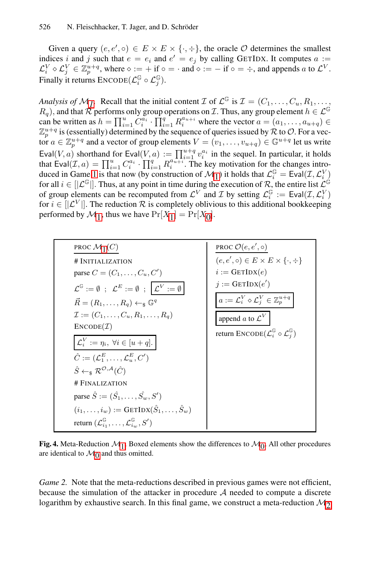Given a query  $(e, e', \circ) \in E \times E \times \{\cdot, \div\}$ , the oracle  $\mathcal O$  determines the smallest lices i and i such that  $e = e$  and  $e' = e$  by calling GETIDY. It computes  $a \cdot \neg$ indices i and j such that  $e = e_i$  and  $e' = e_j$  by calling GETIDX. It computes  $a :=$  $\mathcal{L}_i^V \diamond \mathcal{L}_j^V \in \mathbb{Z}_p^{u+q}$ , where  $\diamond := +$  if  $\circ = \cdot$  and  $\diamond := -$  if  $\circ = \div$ , and appends a to  $\mathcal{L}^V$ . Finally it returns  $\text{ENCODE}(\mathcal{L}_i^{\mathbb{G}} \circ \mathcal{L}_j^{\mathbb{G}})$ .

*Analysis of*  $M_1$ *.* Recall that th[e i](#page-13-0)nitial content  $I$  of  $\mathcal{L}^{\mathbb{G}}$  is  $I = (C_1, \ldots, C_u, R_1, \ldots, R_u)$  $R_q$ ), and that  $\mathcal{R}$  performs only group operations on  $\mathcal{I}$ . Thus, any group element  $h \in \mathcal{L}^{\mathbb{G}}$ <br>can be written as  $h = \prod^u C^{a_i}$ .  $\prod^q R^{a_{u+i}}$  where the vector  $q = (q_1, \ldots, q_{u+i}) \in$ can be written as  $h = \prod_{i=1}^u C_i^{a_i} \cdot \prod_{i=1}^q R_i^{a_{u+i}}$  where the vector  $a = (a_1, \ldots, a_{u+q}) \in \mathbb{Z}^{u+q}$  is (essentially) determined by the sequence of queries issued by R to  $\Omega$ . For a vec- $\mathbb{Z}_p^{u+q}$  is (essentially) determined by the sequence of queries issued by R to O. For a vector  $a \in \mathbb{Z}_p^{u+q}$  $a \in \mathbb{Z}_p^{u+q}$  and a [v](#page-13-0)ector of [gr](#page-12-0)oup elements  $V = (v_1, \ldots, v_{u+q}) \in \mathbb{G}^{u+q}$  let us write Eval(V, a) shorthand for Eval(V, a)  $:= \prod_{i=1}^{u+q} v_i^{a_i}$  in the sequel. In particular, it holds<br>that Eval( $\tau$  a)  $= \prod^u C^{a_i}$ .  $\prod^q P^{a_{u+1}}$  The key motivation for the changes introthat Eval( $\mathcal{I}, a$ ) =  $\prod_{i=1}^{u} C_i^{a_i} \cdot \prod_{i=1}^{q} R_i^{a_{u+i}}$  $\prod_{i=1}^{u} C_i^{a_i} \cdot \prod_{i=1}^{q} R_i^{a_{u+i}}$  $\prod_{i=1}^{u} C_i^{a_i} \cdot \prod_{i=1}^{q} R_i^{a_{u+i}}$ . The key motivation for the changes intro-<br>duced in Game 1 is that now (by construction of  $\mathcal{M}_1$ ) it holds that  $\mathcal{L}_i^{\mathbb{G}} = \text{Eval}(\mathcal{I}, \mathcal{L}_i^V)$ <br>for for all  $i \in [|\mathcal{L}^{\mathbb{G}}|]$ . Thus, at any point in time during the execution of  $\mathcal{R}$ , the entire list  $\mathcal{L}^{\mathbb{G}}$  of group elements can be recomputed from  $\mathcal{L}^V$  and  $\mathcal{I}$  by setting  $\mathcal{L}^{\mathbb{G}}_i := \text{Eval$ for  $i \in [L^V]$ . The reduction R is completely oblivious to this additional bookkeeping performed by  $\mathcal{M}_1$ , thus we have  $Pr[X_1] = Pr[X_0]$ .

<span id="page-14-1"></span><span id="page-14-0"></span>

**Fig. 4.** Meta-Reduction  $M_1$ . Boxed elements show the differences to  $M_0$ . All other procedures are identical to  $\mathcal{M}_0$  and thus omitted.

*Game 2.* Note that the meta-reductions described in previous games were not efficient, because the simulation of the attacker in procedure A needed to compute a discrete logarithm by exhaustive search. In this final game, we construct a meta-reduction  $M_2$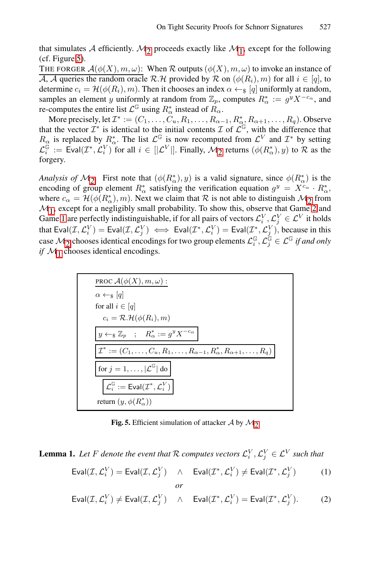that simulates A efficiently.  $M_2$  proceeds exactly like  $M_1$ , except for the following (cf. Figure 5).

THE FORGER  $\mathcal{A}(\phi(X), m, \omega)$ : [Wh](#page-14-0)en R outputs  $(\phi(X), m, \omega)$  to invoke an instance of  $\overline{A}$ ,  $\overline{A}$  queries the random oracle  $\mathcal{R}$ . H provided by  $\mathcal{R}$  on  $(\phi(R_i), m)$  for all  $i \in [q]$ , to determine  $c_i = \mathcal{H}(\phi(R_i), m)$ . Then it chooses an index  $\alpha \leftarrow \{q\}$  uniformly at random, samples an element y uniformly at random from  $\mathbb{Z}_p$ , computes  $R^*_{\alpha} := g^y X^{-c_{\alpha}}$ , and re-computes the entire list  $\Lambda^{\mathbb{G}}$  using  $R^*$  instead of  $R$ re-computes the entire list  $\mathcal{L}^{\mathbb{G}}$  using  $R^*_{\alpha}$  instead of  $R_{\alpha}$ .<br>More precisely let  $\mathcal{T}^* := (C_1, C_2, C_3, R_4)$ 

More precisely, let  $\mathcal{I}^* := (C_1, \ldots, C_u, R_1, \ldots, R_{\alpha-1}, R^*_{\alpha}, R_{\alpha+1}, \ldots, R_q)$ . Observe that the vector  $\mathcal{I}^*$  is identical to the initial contents  $\mathcal{I}$  of  $\mathcal{L}^{\mathbb{G}}$  $\mathcal{L}^{\mathbb{G}}$  $\mathcal{L}^{\mathbb{G}}$ [, w](#page-14-0)ith the difference that  $R_{\alpha}$  is replaced by  $R_{\alpha}^{*}$ . The list  $\mathcal{L}^{\mathbb{G}}$  is now recomputed from  $\mathcal{L}^{V}$  and  $\mathcal{I}^{*}$  by setting  $\mathcal{L}^{\mathbb{G}}$  :  $\vdash$  Eval( $\mathcal{T}^{*}$ ,  $\mathcal{L}^{V}$ ) for all  $i \in [|\mathcal{L}^{V}|]$ . Finally,  $M_{\alpha}$  re  $\mathcal{L}_{\text{G}}^{\mathbb{G}} := \text{Eval}(\mathcal{I}^*, \mathcal{L}_{i}^V)$  for all  $i \in [|\mathcal{L}^V|]$ . Finally,  $\mathcal{M}_2$  returns  $(\phi(R^*_{\alpha}), y)$  to  $\mathcal{R}$  as the forgery.

*Analysis of*  $M_2$ . First note that  $(\phi(R^*_{\alpha}), y)$  is a valid signature, since  $\phi(R^*_{\alpha})$  is the encoding of group element  $R^*$  satisfying the verification equation  $a^y = X^{c_{\alpha}}$ .  $R^*$ encoding of group element  $R^*_{\alpha}$  satisfying the verification equation  $g^y = X^{c_{\alpha}} \cdot R^*_{\alpha}$ <br>where  $c_{\alpha} = \mathcal{H}(\phi(R^*))$  m). Next we claim that R is not able to distinguish  $M_{\alpha}$  from where  $c_{\alpha} = \mathcal{H}(\phi(R_{\alpha}^{*}), m)$ . Next we claim that  $\mathcal{R}$  is not able to distinguish  $\mathcal{M}_{2}$  from  $\mathcal{M}_1$ , except for a negligibly small probability. To show this, observe that Game 2 and Game 1 are perfectly indistinguishable, if for all pairs of vectors  $\mathcal{L}_i^V$ ,  $\mathcal{L}_j^V \in \mathcal{L}^V$  it holds<br>that  $E_{\text{val}}(\mathcal{T}, \mathcal{L}^V) = E_{\text{val}}(\mathcal{T}, \mathcal{L}^V)$  for  $E_{\text{val}}(\mathcal{T}^*, \mathcal{L}^V) = E_{\text{val}}(\mathcal{T}^*, \mathcal{L}^V)$  beca that  $\text{Eval}(\mathcal{I}, \mathcal{L}_i^V) = \text{Eval}(\mathcal{I}, \mathcal{L}_j^V) \iff \text{Eval}(\mathcal{I}^*, \mathcal{L}_i^V) = \text{Eval}(\mathcal{I}^*, \mathcal{L}_j^V)$ , because in this case  $\mathcal{M}_2$  chooses identical encodings for two group elements  $\mathcal{L}_i^{\mathbb{G}}, \mathcal{L}_j^{\mathbb{G}} \in \mathcal{L}^{\mathbb{G}}$  *if and only if*  $M_i$  chooses identical encodings *if*  $M_1$  chooses identical encodings.



**Fig. 5.** Efficient simulation of attacker  $\mathcal{A}$  by  $\mathcal{M}_{2}$ 

**Lemma 1.** Let F denote the event that R computes vectors  $\mathcal{L}_{i}^{V}$  ,  $\mathcal{L}_{j}^{V} \in \mathcal{L}^{V}$  such that

*or*

$$
\text{Eval}(\mathcal{I}, \mathcal{L}_i^V) = \text{Eval}(\mathcal{I}, \mathcal{L}_j^V) \quad \wedge \quad \text{Eval}(\mathcal{I}^*, \mathcal{L}_i^V) \neq \text{Eval}(\mathcal{I}^*, \mathcal{L}_j^V) \tag{1}
$$

$$
\text{Eval}(\mathcal{I}, \mathcal{L}_i^V) \neq \text{Eval}(\mathcal{I}, \mathcal{L}_j^V) \quad \wedge \quad \text{Eval}(\mathcal{I}^*, \mathcal{L}_i^V) = \text{Eval}(\mathcal{I}^*, \mathcal{L}_j^V). \tag{2}
$$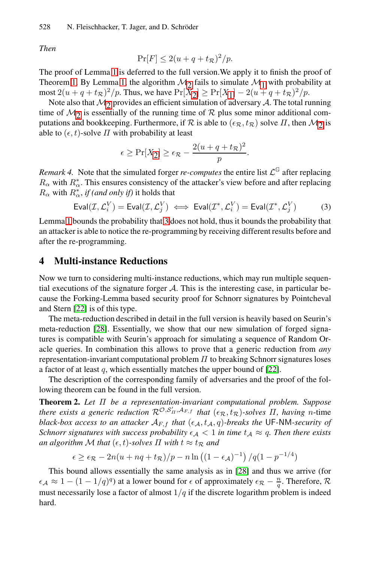*Then*

$$
\Pr[F] \le 2(u+q+t_{\mathcal{R}})^2/p.
$$

The proof of Lemma 1 is deferred to the full version.We apply it to finish the proof of Theorem 1. B[y](#page-14-0) [L](#page-14-0)emma 1, the algorithm  $M_2$  fails to simulate  $M_1$  with probability at most  $2(u + q + t_{\mathcal{R}})^2/p$ . Thus, we have  $Pr[\bar{X}_2] \ge Pr[X_1] - 2(u + q + t_{\mathcal{R}})^2/p$ .

Note also that  $M_2$  provides an efficient simulation of adversary A. The total running time of  $M_2$  is essentially of the running time of R plus some minor additional computations and bookkeeping. Furthermore, if R is able to  $(\epsilon_{\mathcal{R}}, t_{\mathcal{R}})$  solve  $\Pi$ , then  $\mathcal{M}_2$  is able to  $(\epsilon, t)$ -solve  $\Pi$  with probability at least

$$
\epsilon \ge \Pr[X_2] \ge \epsilon_{\mathcal{R}} - \frac{2(u + q + t_{\mathcal{R}})^2}{p}.
$$

*Remark 4.* Note that the simulated forger *re-computes* the entire list  $\mathcal{L}^{\mathbb{G}}$  after replacing  $R_{\alpha}$  with  $R_{\alpha}^{*}$ . This ensures consistency of the attacker's view before and after replacing  $R_{\alpha}$  with  $R^{*}$  if (and only if) it holds that  $R_{\alpha}$  with  $R_{\alpha}^{*}$ , *if (and only if)* it holds that

$$
\text{Eval}(\mathcal{I}, \mathcal{L}_i^V) = \text{Eval}(\mathcal{I}, \mathcal{L}_j^V) \iff \text{Eval}(\mathcal{I}^*, \mathcal{L}_i^V) = \text{Eval}(\mathcal{I}^*, \mathcal{L}_j^V) \tag{3}
$$

Lemma 1 bounds the probability that 3 does not hold, thus it bounds the probability that an attacker is able to notice the re-programming by receiving different results before and after the re-programming.

### **4 Multi-instance Reductions**

Now we turn to considering multi-instance reductions, which may run multiple sequential executions of the signature forger  $A$ . This i[s th](#page-18-3)e interesting case, in particular because the Forking-Lemma based security proof for Schnorr signatures by Pointcheval and Stern [22] is of this type.

The meta-reduction described in detail in the full version is heavily based on Seurin's meta-reduction [28]. Essentially, we show that our new simulation of forged signatures is compatible with Seurin's approach for simulating a sequence of Random Oracle queries. In combination this allows to prove that a generic reduction from *any* representation-invariant computational problem  $\Pi$  to breaking Schnorr signatures loses a factor of at least  $q$ , which essentially matches the upper bound of [22].

The description of the corresponding family of adversaries and the proof of the following theorem can be found in the ful[l ve](#page-18-2)rsion.

**Theorem 2.** *Let* Π *be a representation-invariant computational problem. Suppose there exists a generic reduction*  $\mathcal{R}^{\mathcal{O}, S'_H, A_{F,f}}$  *that*  $(\epsilon_R, t_R)$ *-solves*  $\Pi$ *, having n-time* black-box access to an attacker. Are that  $(\epsilon_L, t_R, a)$ -breaks the UE-NM-security of *black-box access to an attacker*  $A_{F,f}$  *that*  $(\epsilon_A, t_A, q)$ *-breaks the* UF-NM-security of *Schnorr signatures with success probability*  $\epsilon_A < 1$  *in time*  $t_A \approx q$ *. Then there exists an algorithm* M *that* ( $\epsilon$ ,  $t$ )-solves  $\Pi$  with  $t \approx t_{\mathcal{R}}$  and

$$
\epsilon \ge \epsilon_{\mathcal{R}} - 2n(u + nq + t_{\mathcal{R}})/p - n\ln\left((1 - \epsilon_{\mathcal{A}})^{-1}\right)/q(1 - p^{-1/4})
$$

This bound allows essentially the same analysis as in [28] and thus we arrive (for  $\epsilon_A \approx 1 - (1 - 1/q)^q$  at a lower bound for  $\epsilon$  of approximately  $\epsilon_R - \frac{n}{q}$ . Therefore,  $\mathcal{R}$ <br>must necessarily lose a fector of almost  $1/a$  if the discrete logarithm problem is indeed must necessarily lose a factor of almost  $1/q$  if the discrete logarithm problem is indeed hard.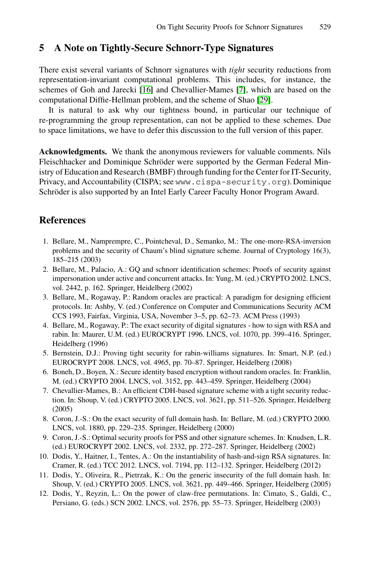## **5 A Note on Tightly-Secure Schnorr-Type Signatures**

<span id="page-17-1"></span>There exist several variants of Schnorr signatures with *tight* security reductions from representation-invariant computational problems. This includes, for instance, the schemes of Goh and Jarecki [16] and Chevallier-Mames [7], which are based on the computational Diffie-Hellman problem, and the scheme of Shao [29].

It is natural to ask why our tightness bound, in particular our technique of re-programming the group representation, can not be applied to these schemes. Due to space limitations, we have to defer this discussion to the full version of this paper.

<span id="page-17-2"></span><span id="page-17-0"></span>**Acknowledgments.** We thank the anonymous reviewers for valuable comments. Nils Fleischhacker and Dominique Schröder were supported by the German Federal Ministry of Education and Research (BMBF) through funding for the Center for IT-Security, Privacy, and Accountability (CISPA; see www.cispa-security.org). Dominique Schröder is also supported by an Intel Early Career Faculty Honor Program Award.

### <span id="page-17-7"></span>**References**

- 1. Bellare, M., Namprempre, C., Pointcheval, D., Semanko, M.: The one-more-RSA-inversion problems and the security of Chaum's blind signature scheme. Journal of Cryptology 16(3), 185–215 (2003)
- <span id="page-17-4"></span><span id="page-17-3"></span>2. Bellare, M., Palacio, A.: GQ and schnorr identification schemes: Proofs of security against impersonation under active and concurrent attacks. In: Yung, M. (ed.) CRYPTO 2002. LNCS, vol. 2442, p. 162. Springer, Heidelberg (2002)
- 3. Bellare, M., Rogaway, P.: Random oracles are practical: A paradigm for designing efficient protocols. In: Ashby, V. (ed.) Conference on Computer and Communications Security ACM CCS 1993, Fairfax, Virginia, USA, November 3–5, pp. 62–73. ACM Press (1993)
- <span id="page-17-6"></span><span id="page-17-5"></span>4. Bellare, M., Rogaway, P.: The exact security of digital signatures - how to sign with RSA and rabin. In: Maurer, U.M. (ed.) EUROCRYPT 1996. LNCS, vol. 1070, pp. 399–416. Springer, Heidelberg (1996)
- 5. Bernstein, D.J.: Proving tight security for rabin-williams signatures. In: Smart, N.P. (ed.) EUROCRYPT 2008. LNCS, vol. 4965, pp. 70–87. Springer, Heidelberg (2008)
- 6. Boneh, D., Boyen, X.: Secure identity based encryption without random oracles. In: Franklin, M. (ed.) CRYPTO 2004. LNCS, vol. 3152, pp. 443–459. Springer, Heidelberg (2004)
- 7. Chevallier-Mames, B.: An efficient CDH-based signature scheme with a tight security reduction. In: Shoup, V. (ed.) CRYPTO 2005. LNCS, vol. 3621, pp. 511–526. Springer, Heidelberg (2005)
- 8. Coron, J.-S.: On the exact security of full domain hash. In: Bellare, M. (ed.) CRYPTO 2000. LNCS, vol. 1880, pp. 229–235. Springer, Heidelberg (2000)
- 9. Coron, J.-S.: Optimal security proofs for PSS and other signature schemes. In: Knudsen, L.R. (ed.) EUROCRYPT 2002. LNCS, vol. 2332, pp. 272–287. Springer, Heidelberg (2002)
- 10. Dodis, Y., Haitner, I., Tentes, A.: On the instantiability of hash-and-sign RSA signatures. In: Cramer, R. (ed.) TCC 2012. LNCS, vol. 7194, pp. 112–132. Springer, Heidelberg (2012)
- 11. Dodis, Y., Oliveira, R., Pietrzak, K.: On the generic insecurity of the full domain hash. In: Shoup, V. (ed.) CRYPTO 2005. LNCS, vol. 3621, pp. 449–466. Springer, Heidelberg (2005)
- 12. Dodis, Y., Reyzin, L.: On the power of claw-free permutations. In: Cimato, S., Galdi, C., Persiano, G. (eds.) SCN 2002. LNCS, vol. 2576, pp. 55–73. Springer, Heidelberg (2003)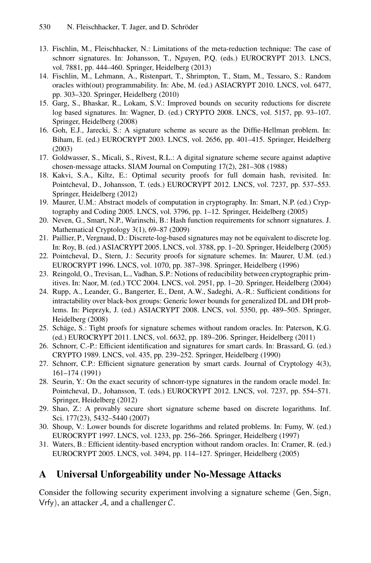- <span id="page-18-8"></span><span id="page-18-5"></span>13. Fischlin, M., Fleischhacker, N.: Limitations of the meta-reduction technique: The case of schnorr signatures. In: Johansson, T., Nguyen, P.Q. (eds.) EUROCRYPT 2013. LNCS, vol. 7881, pp. 444–460. Springer, Heidelberg (2013)
- 14. Fischlin, M., Lehmann, A., Ristenpart, T., Shrimpton, T., Stam, M., Tessaro, S.: Random oracles with(out) programmability. In: Abe, M. (ed.) ASIACRYPT 2010. LNCS, vol. 6477, pp. 303–320. Springer, Heidelberg (2010)
- <span id="page-18-4"></span>15. Garg, S., Bhaskar, R., Lokam, S.V.: Improved bounds on security reductions for discrete log based signatures. In: Wagner, D. (ed.) CRYPTO 2008. LNCS, vol. 5157, pp. 93–107. Springer, Heidelberg (2008)
- <span id="page-18-11"></span><span id="page-18-7"></span>16. Goh, E.J., Jarecki, S.: A signature scheme as secure as the Diffie-Hellman problem. In: Biham, E. (ed.) EUROCRYPT 2003. LNCS, vol. 2656, pp. 401–415. Springer, Heidelberg (2003)
- <span id="page-18-0"></span>17. Goldwasser, S., Micali, S., Rivest, R.L.: A digital signature scheme secure against adaptive chosen-message attacks. SIAM Journal on Computing 17(2), 281–308 (1988)
- <span id="page-18-3"></span>18. Kakvi, S.A., Kiltz, E.: Optimal security proofs for full domain hash, revisited. In: Pointcheval, D., Johansson, T. (eds.) EUROCRYPT 2012. LNCS, vol. 7237, pp. 537–553. Springer, Heidelberg (2012)
- <span id="page-18-12"></span>19. Maurer, U.M.: Abstract models of computation in cryptography. In: Smart, N.P. (ed.) Cryptography and Coding 2005. LNCS, vol. 3796, pp. 1–12. Springer, Heidelberg (2005)
- 20. Neven, G., Smart, N.P., Warinschi, B.: Hash function requirements for schnorr signatures. J. Mathematical Cryptology 3(1), 69–87 (2009)
- 21. Paillier, P., Vergnaud, D.: Discrete-log-based signatures may not be equivalent to discrete log. In: Roy, B. (ed.) ASIACRYPT 2005. LNCS, vol. 3788, pp. 1–20. Springer, Heidelberg (2005)
- 22. Pointcheval, D., Stern, J.: Security proofs for signature schemes. In: Maurer, U.M. (ed.) EUROCRYPT 1996. LNCS, vol. 1070, pp. 387–398. Springer, Heidelberg (1996)
- <span id="page-18-9"></span>23. Reingold, O., Trevisan, L., Vadhan, S.P.: Notions of reducibility between cryptographic primitives. In: Naor, M. (ed.) TCC 2004. LNCS, vol. 2951, pp. 1–20. Springer, Heidelberg (2004)
- <span id="page-18-10"></span><span id="page-18-2"></span>24. Rupp, A., Leander, G., Bangerter, E., Dent, A.W., Sadeghi, A.-R.: Sufficient conditions for intractability over black-box groups: Generic lower bounds for generalized DL and DH problems. In: Pieprzyk, J. (ed.) ASIACRYPT 2008. LNCS, vol. 5350, pp. 489–505. Springer, Heidelberg (2008)
- <span id="page-18-14"></span>25. Schäge, S.: Tight proofs for signature schemes without random oracles. In: Paterson, K.G. (ed.) EUROCRYPT 2011. LNCS, vol. 6632, pp. 189–206. Springer, Heidelberg (2011)
- <span id="page-18-6"></span>26. Schnorr, C.-P.: Efficient identification and signatures for smart cards. In: Brassard, G. (ed.) CRYPTO 1989. LNCS, vol. 435, pp. 239–252. Springer, Heidelberg (1990)
- <span id="page-18-13"></span>27. Schnorr, C.P.: Efficient signature generation by smart cards. Journal of Cryptology 4(3), 161–174 (1991)
- <span id="page-18-1"></span>28. Seurin, Y.: On the exact security of schnorr-type signatures in the random oracle model. In: Pointcheval, D., Johansson, T. (eds.) EUROCRYPT 2012. LNCS, vol. 7237, pp. 554–571. Springer, Heidelberg (2012)
- 29. Shao, Z.: A provably secure short signature scheme based on discrete logarithms. Inf. Sci. 177(23), 5432–5440 (2007)
- 30. Shoup, V.: Lower bounds for discrete logarithms and related problems. In: Fumy, W. (ed.) EUROCRYPT 1997. LNCS, vol. 1233, pp. 256–266. Springer, Heidelberg (1997)
- 31. Waters, B.: Efficient identity-based encryption without random oracles. In: Cramer, R. (ed.) EUROCRYPT 2005. LNCS, vol. 3494, pp. 114–127. Springer, Heidelberg (2005)

## **A Universal Unforgeability under No-Message Attacks**

Consider the following security experiment involving a signature scheme (Gen, Sign, Vrfy), an attacker  $A$ , and a challenger  $C$ .